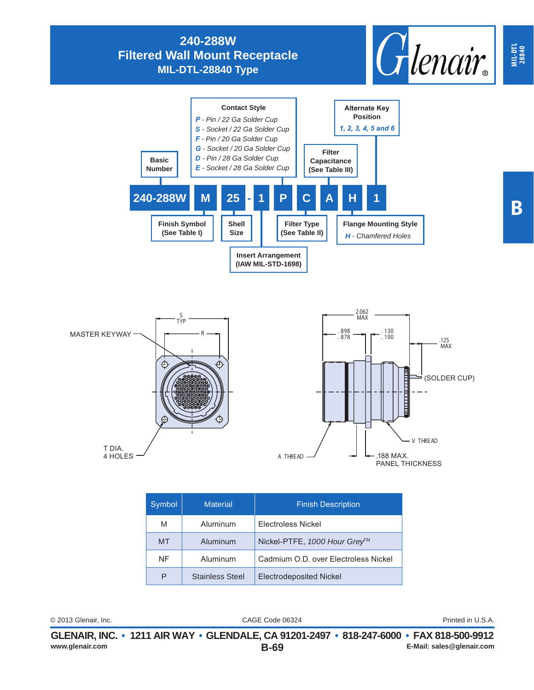## **240-288W Filtered Wall Mount Receptacle MIL-DTL-28840 Type**





| Symbol    | <b>Material</b>        | <b>Finish Description</b>            |
|-----------|------------------------|--------------------------------------|
| M         | Aluminum               | Electroless Nickel                   |
| <b>MT</b> | Aluminum               | Nickel-PTFE, 1000 Hour Grey™         |
| NF        | Aluminum               | Cadmium O.D. over Electroless Nickel |
| P         | <b>Stainless Steel</b> | <b>Electrodeposited Nickel</b>       |

CAGE Code 06324 © 2013 Glenair, Inc. Printed in U.S.A.

**MIL-DTL 28840**